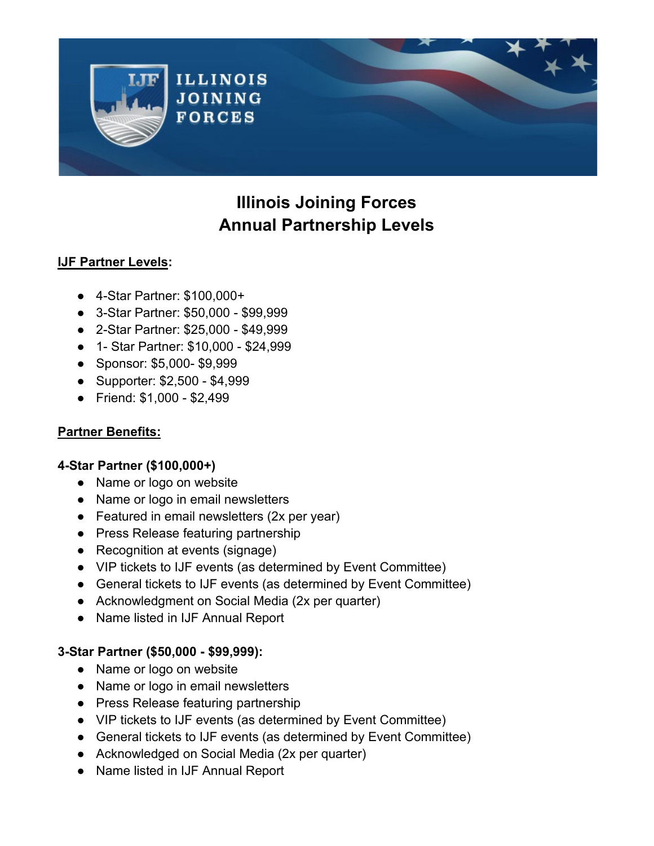

# **Illinois Joining Forces Annual Partnership Levels**

## **IJF Partner Levels:**

- 4-Star Partner: \$100,000+
- 3-Star Partner: \$50,000 \$99,999
- 2-Star Partner: \$25,000 \$49,999
- 1- Star Partner: \$10,000 \$24,999
- Sponsor: \$5,000- \$9,999
- Supporter: \$2,500 \$4,999
- Friend: \$1,000 \$2,499

# **Partner Benefits:**

## **4-Star Partner (\$100,000+)**

- Name or logo on website
- Name or logo in email newsletters
- Featured in email newsletters (2x per year)
- Press Release featuring partnership
- Recognition at events (signage)
- VIP tickets to IJF events (as determined by Event Committee)
- General tickets to IJF events (as determined by Event Committee)
- Acknowledgment on Social Media (2x per quarter)
- Name listed in IJF Annual Report

## **3-Star Partner (\$50,000 - \$99,999):**

- Name or logo on website
- Name or logo in email newsletters
- Press Release featuring partnership
- VIP tickets to IJF events (as determined by Event Committee)
- General tickets to IJF events (as determined by Event Committee)
- Acknowledged on Social Media (2x per quarter)
- Name listed in IJF Annual Report